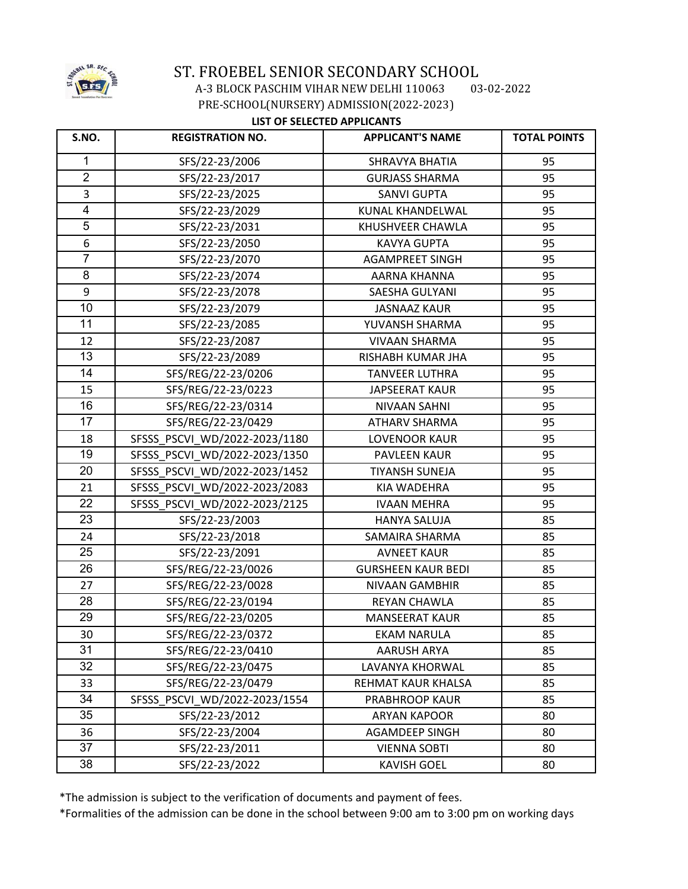

 A-3 BLOCK PASCHIM VIHAR NEW DELHI 110063 03-02-2022 PRE-SCHOOL(NURSERY) ADMISSION(2022-2023)

### **LIST OF SELECTED APPLICANTS**

| S.NO.          | <b>REGISTRATION NO.</b>       | <b>APPLICANT'S NAME</b>   | <b>TOTAL POINTS</b> |
|----------------|-------------------------------|---------------------------|---------------------|
| 1              | SFS/22-23/2006                | SHRAVYA BHATIA            | 95                  |
| $\overline{2}$ | SFS/22-23/2017                | <b>GURJASS SHARMA</b>     | 95                  |
| 3              | SFS/22-23/2025                | <b>SANVI GUPTA</b>        | 95                  |
| $\overline{4}$ | SFS/22-23/2029                | KUNAL KHANDELWAL          | 95                  |
| $\overline{5}$ | SFS/22-23/2031                | KHUSHVEER CHAWLA          | 95                  |
| 6              | SFS/22-23/2050                | <b>KAVYA GUPTA</b>        | 95                  |
| $\overline{7}$ | SFS/22-23/2070                | <b>AGAMPREET SINGH</b>    | 95                  |
| 8              | SFS/22-23/2074                | AARNA KHANNA              | 95                  |
| 9              | SFS/22-23/2078                | SAESHA GULYANI            | 95                  |
| 10             | SFS/22-23/2079                | <b>JASNAAZ KAUR</b>       | 95                  |
| 11             | SFS/22-23/2085                | YUVANSH SHARMA            | 95                  |
| 12             | SFS/22-23/2087                | <b>VIVAAN SHARMA</b>      | 95                  |
| 13             | SFS/22-23/2089                | RISHABH KUMAR JHA         | 95                  |
| 14             | SFS/REG/22-23/0206            | <b>TANVEER LUTHRA</b>     | 95                  |
| 15             | SFS/REG/22-23/0223            | <b>JAPSEERAT KAUR</b>     | 95                  |
| 16             | SFS/REG/22-23/0314            | NIVAAN SAHNI              | 95                  |
| 17             | SFS/REG/22-23/0429            | <b>ATHARV SHARMA</b>      | 95                  |
| 18             | SFSSS PSCVI WD/2022-2023/1180 | <b>LOVENOOR KAUR</b>      | 95                  |
| 19             | SFSSS PSCVI WD/2022-2023/1350 | PAVLEEN KAUR              | 95                  |
| 20             | SFSSS PSCVI WD/2022-2023/1452 | <b>TIYANSH SUNEJA</b>     | 95                  |
| 21             | SFSSS_PSCVI_WD/2022-2023/2083 | <b>KIA WADEHRA</b>        | 95                  |
| 22             | SFSSS PSCVI WD/2022-2023/2125 | <b>IVAAN MEHRA</b>        | 95                  |
| 23             | SFS/22-23/2003                | <b>HANYA SALUJA</b>       | 85                  |
| 24             | SFS/22-23/2018                | SAMAIRA SHARMA            | 85                  |
| 25             | SFS/22-23/2091                | <b>AVNEET KAUR</b>        | 85                  |
| 26             | SFS/REG/22-23/0026            | <b>GURSHEEN KAUR BEDI</b> | 85                  |
| 27             | SFS/REG/22-23/0028            | NIVAAN GAMBHIR            | 85                  |
| 28             | SFS/REG/22-23/0194            | <b>REYAN CHAWLA</b>       | 85                  |
| 29             | SFS/REG/22-23/0205            | <b>MANSEERAT KAUR</b>     | 85                  |
| 30             | SFS/REG/22-23/0372            | EKAM NARULA               | 85                  |
| 31             | SFS/REG/22-23/0410            | <b>AARUSH ARYA</b>        | 85                  |
| 32             | SFS/REG/22-23/0475            | LAVANYA KHORWAL           | 85                  |
| 33             | SFS/REG/22-23/0479            | REHMAT KAUR KHALSA        | 85                  |
| 34             | SFSSS PSCVI WD/2022-2023/1554 | PRABHROOP KAUR            | 85                  |
| 35             | SFS/22-23/2012                | <b>ARYAN KAPOOR</b>       | 80                  |
| 36             | SFS/22-23/2004                | <b>AGAMDEEP SINGH</b>     | 80                  |
| 37             | SFS/22-23/2011                | <b>VIENNA SOBTI</b>       | 80                  |
| 38             | SFS/22-23/2022                | <b>KAVISH GOEL</b>        | 80                  |

\*The admission is subject to the verification of documents and payment of fees.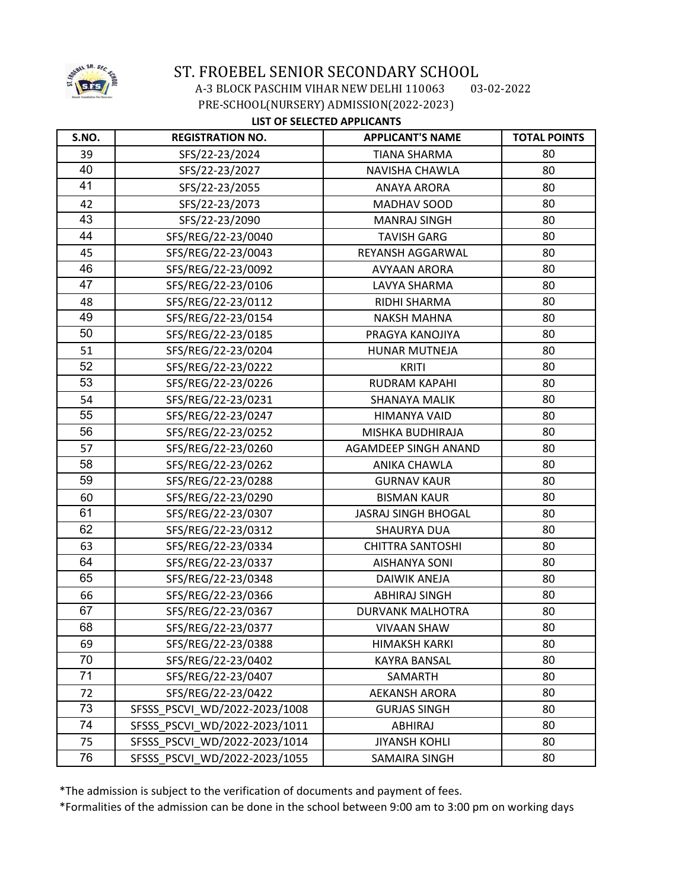

 A-3 BLOCK PASCHIM VIHAR NEW DELHI 110063 03-02-2022 PRE-SCHOOL(NURSERY) ADMISSION(2022-2023)

### **LIST OF SELECTED APPLICANTS**

| S.NO. | <b>REGISTRATION NO.</b>       | <b>APPLICANT'S NAME</b>     | <b>TOTAL POINTS</b> |
|-------|-------------------------------|-----------------------------|---------------------|
| 39    | SFS/22-23/2024                | <b>TIANA SHARMA</b>         | 80                  |
| 40    | SFS/22-23/2027                | NAVISHA CHAWLA              | 80                  |
| 41    | SFS/22-23/2055                | <b>ANAYA ARORA</b>          | 80                  |
| 42    | SFS/22-23/2073                | MADHAV SOOD                 | 80                  |
| 43    | SFS/22-23/2090                | <b>MANRAJ SINGH</b>         | 80                  |
| 44    | SFS/REG/22-23/0040            | <b>TAVISH GARG</b>          | 80                  |
| 45    | SFS/REG/22-23/0043            | REYANSH AGGARWAL            | 80                  |
| 46    | SFS/REG/22-23/0092            | <b>AVYAAN ARORA</b>         | 80                  |
| 47    | SFS/REG/22-23/0106            | LAVYA SHARMA                | 80                  |
| 48    | SFS/REG/22-23/0112            | RIDHI SHARMA                | 80                  |
| 49    | SFS/REG/22-23/0154            | <b>NAKSH MAHNA</b>          | 80                  |
| 50    | SFS/REG/22-23/0185            | PRAGYA KANOJIYA             | 80                  |
| 51    | SFS/REG/22-23/0204            | HUNAR MUTNEJA               | 80                  |
| 52    | SFS/REG/22-23/0222            | <b>KRITI</b>                | 80                  |
| 53    | SFS/REG/22-23/0226            | <b>RUDRAM KAPAHI</b>        | 80                  |
| 54    | SFS/REG/22-23/0231            | SHANAYA MALIK               | 80                  |
| 55    | SFS/REG/22-23/0247            | HIMANYA VAID                | 80                  |
| 56    | SFS/REG/22-23/0252            | MISHKA BUDHIRAJA            | 80                  |
| 57    | SFS/REG/22-23/0260            | <b>AGAMDEEP SINGH ANAND</b> | 80                  |
| 58    | SFS/REG/22-23/0262            | <b>ANIKA CHAWLA</b>         | 80                  |
| 59    | SFS/REG/22-23/0288            | <b>GURNAV KAUR</b>          | 80                  |
| 60    | SFS/REG/22-23/0290            | <b>BISMAN KAUR</b>          | 80                  |
| 61    | SFS/REG/22-23/0307            | <b>JASRAJ SINGH BHOGAL</b>  | 80                  |
| 62    | SFS/REG/22-23/0312            | <b>SHAURYA DUA</b>          | 80                  |
| 63    | SFS/REG/22-23/0334            | <b>CHITTRA SANTOSHI</b>     | 80                  |
| 64    | SFS/REG/22-23/0337            | <b>AISHANYA SONI</b>        | 80                  |
| 65    | SFS/REG/22-23/0348            | <b>DAIWIK ANEJA</b>         | 80                  |
| 66    | SFS/REG/22-23/0366            | <b>ABHIRAJ SINGH</b>        | 80                  |
| 67    | SFS/REG/22-23/0367            | DURVANK MALHOTRA            | 80                  |
| 68    | SFS/REG/22-23/0377            | <b>VIVAAN SHAW</b>          | 80                  |
| 69    | SFS/REG/22-23/0388            | <b>HIMAKSH KARKI</b>        | 80                  |
| 70    | SFS/REG/22-23/0402            | <b>KAYRA BANSAL</b>         | 80                  |
| 71    | SFS/REG/22-23/0407            | SAMARTH                     | 80                  |
| 72    | SFS/REG/22-23/0422            | AEKANSH ARORA               | 80                  |
| 73    | SFSSS PSCVI WD/2022-2023/1008 | <b>GURJAS SINGH</b>         | 80                  |
| 74    | SFSSS_PSCVI_WD/2022-2023/1011 | <b>ABHIRAJ</b>              | 80                  |
| 75    | SFSSS PSCVI WD/2022-2023/1014 | <b>JIYANSH KOHLI</b>        | 80                  |
| 76    | SFSSS_PSCVI_WD/2022-2023/1055 | SAMAIRA SINGH               | 80                  |

\*The admission is subject to the verification of documents and payment of fees.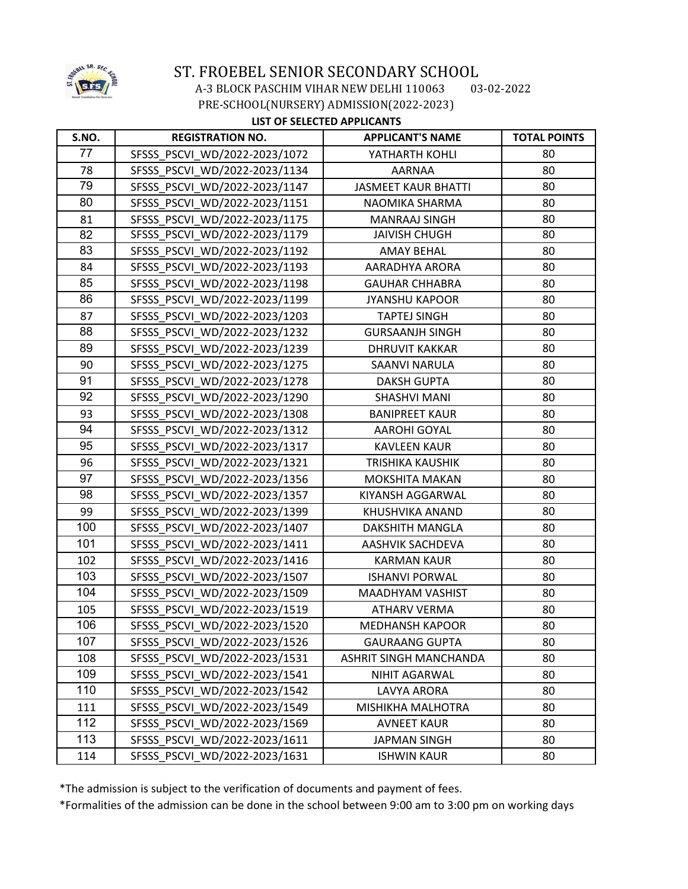

 A-3 BLOCK PASCHIM VIHAR NEW DELHI 110063 03-02-2022 PRE-SCHOOL(NURSERY) ADMISSION(2022-2023)

### **LIST OF SELECTED APPLICANTS**

| S.NO. | <b>REGISTRATION NO.</b>       | <b>APPLICANT'S NAME</b>       | <b>TOTAL POINTS</b> |
|-------|-------------------------------|-------------------------------|---------------------|
| 77    | SFSSS PSCVI WD/2022-2023/1072 | YATHARTH KOHLI                | 80                  |
| 78    | SFSSS_PSCVI_WD/2022-2023/1134 | <b>AARNAA</b>                 | 80                  |
| 79    | SFSSS PSCVI WD/2022-2023/1147 | <b>JASMEET KAUR BHATTI</b>    | 80                  |
| 80    | SFSSS PSCVI WD/2022-2023/1151 | NAOMIKA SHARMA                | 80                  |
| 81    | SFSSS PSCVI WD/2022-2023/1175 | <b>MANRAAJ SINGH</b>          | 80                  |
| 82    | SFSSS_PSCVI_WD/2022-2023/1179 | <b>JAIVISH CHUGH</b>          | 80                  |
| 83    | SFSSS PSCVI WD/2022-2023/1192 | <b>AMAY BEHAL</b>             | 80                  |
| 84    | SFSSS PSCVI WD/2022-2023/1193 | AARADHYA ARORA                | 80                  |
| 85    | SFSSS PSCVI WD/2022-2023/1198 | <b>GAUHAR CHHABRA</b>         | 80                  |
| 86    | SFSSS PSCVI WD/2022-2023/1199 | <b>JYANSHU KAPOOR</b>         | 80                  |
| 87    | SFSSS PSCVI WD/2022-2023/1203 | <b>TAPTEJ SINGH</b>           | 80                  |
| 88    | SFSSS PSCVI WD/2022-2023/1232 | <b>GURSAANJH SINGH</b>        | 80                  |
| 89    | SFSSS PSCVI WD/2022-2023/1239 | <b>DHRUVIT KAKKAR</b>         | 80                  |
| 90    | SFSSS PSCVI WD/2022-2023/1275 | SAANVI NARULA                 | 80                  |
| 91    | SFSSS_PSCVI_WD/2022-2023/1278 | <b>DAKSH GUPTA</b>            | 80                  |
| 92    | SFSSS PSCVI WD/2022-2023/1290 | <b>SHASHVI MANI</b>           | 80                  |
| 93    | SFSSS PSCVI WD/2022-2023/1308 | <b>BANIPREET KAUR</b>         | 80                  |
| 94    | SFSSS PSCVI WD/2022-2023/1312 | <b>AAROHI GOYAL</b>           | 80                  |
| 95    | SFSSS PSCVI WD/2022-2023/1317 | <b>KAVLEEN KAUR</b>           | 80                  |
| 96    | SFSSS PSCVI WD/2022-2023/1321 | <b>TRISHIKA KAUSHIK</b>       | 80                  |
| 97    | SFSSS PSCVI WD/2022-2023/1356 | <b>MOKSHITA MAKAN</b>         | 80                  |
| 98    | SFSSS PSCVI WD/2022-2023/1357 | KIYANSH AGGARWAL              | 80                  |
| 99    | SFSSS_PSCVI_WD/2022-2023/1399 | KHUSHVIKA ANAND               | 80                  |
| 100   | SFSSS PSCVI WD/2022-2023/1407 | DAKSHITH MANGLA               | 80                  |
| 101   | SFSSS PSCVI WD/2022-2023/1411 | AASHVIK SACHDEVA              | 80                  |
| 102   | SFSSS PSCVI WD/2022-2023/1416 | <b>KARMAN KAUR</b>            | 80                  |
| 103   | SFSSS PSCVI WD/2022-2023/1507 | <b>ISHANVI PORWAL</b>         | 80                  |
| 104   | SFSSS PSCVI WD/2022-2023/1509 | <b>MAADHYAM VASHIST</b>       | 80                  |
| 105   | SFSSS PSCVI WD/2022-2023/1519 | <b>ATHARV VERMA</b>           | 80                  |
| 106   | SFSSS PSCVI WD/2022-2023/1520 | <b>MEDHANSH KAPOOR</b>        | 80                  |
| 107   | SFSSS PSCVI WD/2022-2023/1526 | <b>GAURAANG GUPTA</b>         | 80                  |
| 108   | SFSSS PSCVI WD/2022-2023/1531 | <b>ASHRIT SINGH MANCHANDA</b> | 80                  |
| 109   | SFSSS PSCVI WD/2022-2023/1541 | NIHIT AGARWAL                 | 80                  |
| 110   | SFSSS PSCVI WD/2022-2023/1542 | LAVYA ARORA                   | 80                  |
| 111   | SFSSS PSCVI WD/2022-2023/1549 | MISHIKHA MALHOTRA             | 80                  |
| 112   | SFSSS PSCVI WD/2022-2023/1569 | <b>AVNEET KAUR</b>            | 80                  |
| 113   | SFSSS PSCVI WD/2022-2023/1611 | JAPMAN SINGH                  | 80                  |
| 114   | SFSSS PSCVI WD/2022-2023/1631 | <b>ISHWIN KAUR</b>            | 80                  |

\*The admission is subject to the verification of documents and payment of fees.